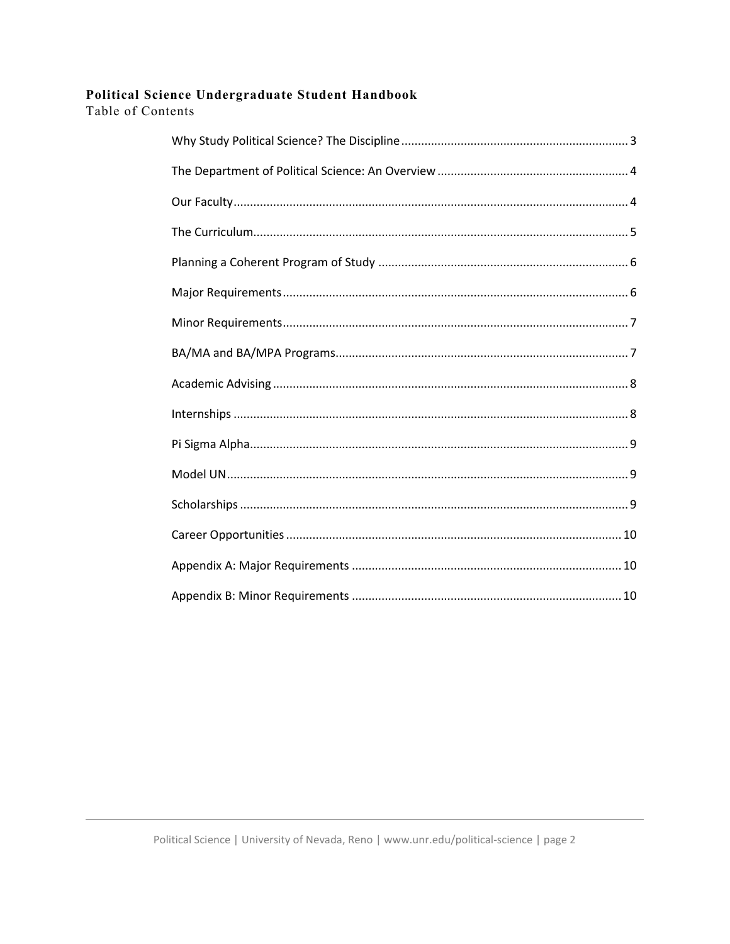# Political Science Undergraduate Student Handbook

Table of Contents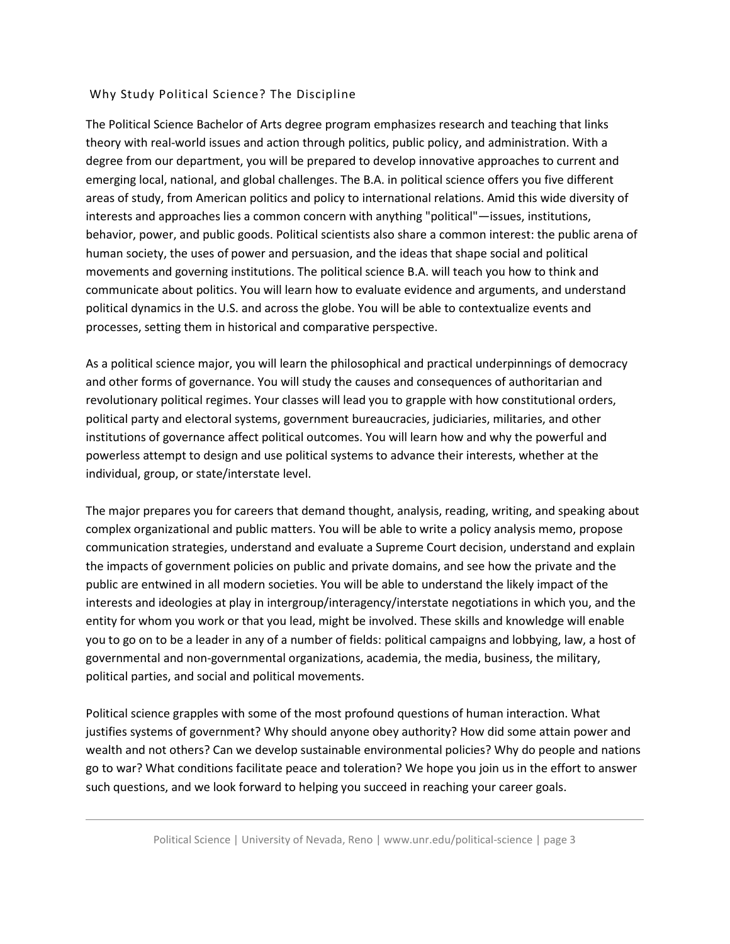### <span id="page-1-0"></span>Why Study Political Science? The Discipline

 areas of study, from American politics and policy to international relations. Amid this wide diversity of human society, the uses of power and persuasion, and the ideas that shape social and political communicate about politics. You will learn how to evaluate evidence and arguments, and understand processes, setting them in historical and comparative perspective. The Political Science Bachelor of Arts degree program emphasizes research and teaching that links theory with real-world issues and action through politics, public policy, and administration. With a degree from our department, you will be prepared to develop innovative approaches to current and emerging local, national, and global challenges. The B.A. in political science offers you five different interests and approaches lies a common concern with anything "political"—issues, institutions, behavior, power, and public goods. Political scientists also share a common interest: the public arena of movements and governing institutions. The political science B.A. will teach you how to think and political dynamics in the U.S. and across the globe. You will be able to contextualize events and

 and other forms of governance. You will study the causes and consequences of authoritarian and revolutionary political regimes. Your classes will lead you to grapple with how constitutional orders, institutions of governance affect political outcomes. You will learn how and why the powerful and individual, group, or state/interstate level. As a political science major, you will learn the philosophical and practical underpinnings of democracy political party and electoral systems, government bureaucracies, judiciaries, militaries, and other powerless attempt to design and use political systems to advance their interests, whether at the

 complex organizational and public matters. You will be able to write a policy analysis memo, propose communication strategies, understand and evaluate a Supreme Court decision, understand and explain the impacts of government policies on public and private domains, and see how the private and the public are entwined in all modern societies. You will be able to understand the likely impact of the you to go on to be a leader in any of a number of fields: political campaigns and lobbying, law, a host of governmental and non-governmental organizations, academia, the media, business, the military, political parties, and social and political movements. The major prepares you for careers that demand thought, analysis, reading, writing, and speaking about interests and ideologies at play in intergroup/interagency/interstate negotiations in which you, and the entity for whom you work or that you lead, might be involved. These skills and knowledge will enable

 go to war? What conditions facilitate peace and toleration? We hope you join us in the effort to answer Political science grapples with some of the most profound questions of human interaction. What justifies systems of government? Why should anyone obey authority? How did some attain power and wealth and not others? Can we develop sustainable environmental policies? Why do people and nations such questions, and we look forward to helping you succeed in reaching your career goals.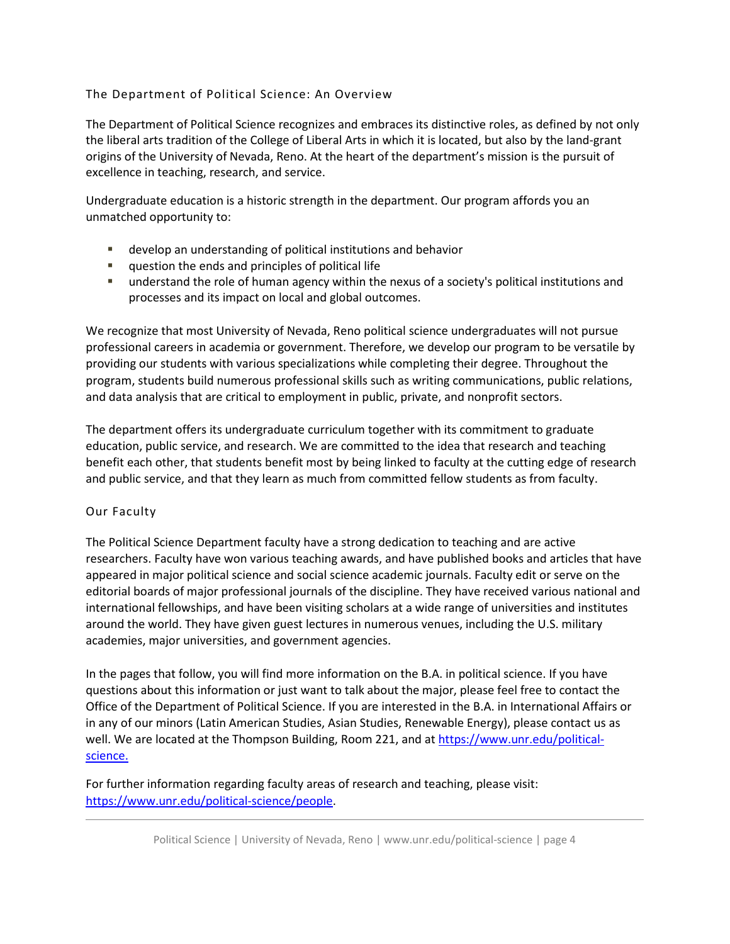# <span id="page-2-0"></span>The Department of Political Science: An Overview

 The Department of Political Science recognizes and embraces its distinctive roles, as defined by not only origins of the University of Nevada, Reno. At the heart of the department's mission is the pursuit of the liberal arts tradition of the College of Liberal Arts in which it is located, but also by the land-grant excellence in teaching, research, and service.

 Undergraduate education is a historic strength in the department. Our program affords you an unmatched opportunity to:

- develop an understanding of political institutions and behavior
- **question the ends and principles of political life**
- understand the role of human agency within the nexus of a society's political institutions and processes and its impact on local and global outcomes.

 We recognize that most University of Nevada, Reno political science undergraduates will not pursue professional careers in academia or government. Therefore, we develop our program to be versatile by providing our students with various specializations while completing their degree. Throughout the program, students build numerous professional skills such as writing communications, public relations, and data analysis that are critical to employment in public, private, and nonprofit sectors.

 and public service, and that they learn as much from committed fellow students as from faculty. The department offers its undergraduate curriculum together with its commitment to graduate education, public service, and research. We are committed to the idea that research and teaching benefit each other, that students benefit most by being linked to faculty at the cutting edge of research

### <span id="page-2-1"></span>Our Faculty

 researchers. Faculty have won various teaching awards, and have published books and articles that have editorial boards of major professional journals of the discipline. They have received various national and academies, major universities, and government agencies. The Political Science Department faculty have a strong dedication to teaching and are active appeared in major political science and social science academic journals. Faculty edit or serve on the international fellowships, and have been visiting scholars at a wide range of universities and institutes around the world. They have given guest lectures in numerous venues, including the U.S. military

academies, major universities, and government agencies.<br>In the pages that follow, you will find more information on the B.A. in political science. If you have questions about this information or just want to talk about the major, please feel free to contact the Office of the Department of Political Science. If you are interested in the B.A. in International Affairs or in any of our minors (Latin American Studies, Asian Studies, Renewable Energy), please contact us as well. We are located at the Thompson Building, Room 221, and a[t https://www.unr.edu/political](https://www.unr.edu/political-science)[science.](https://www.unr.edu/political-science) 

 For further information regarding faculty areas of research and teaching, please visit: [https://www.unr.edu/political-science/people.](https://www.unr.edu/political-science/people)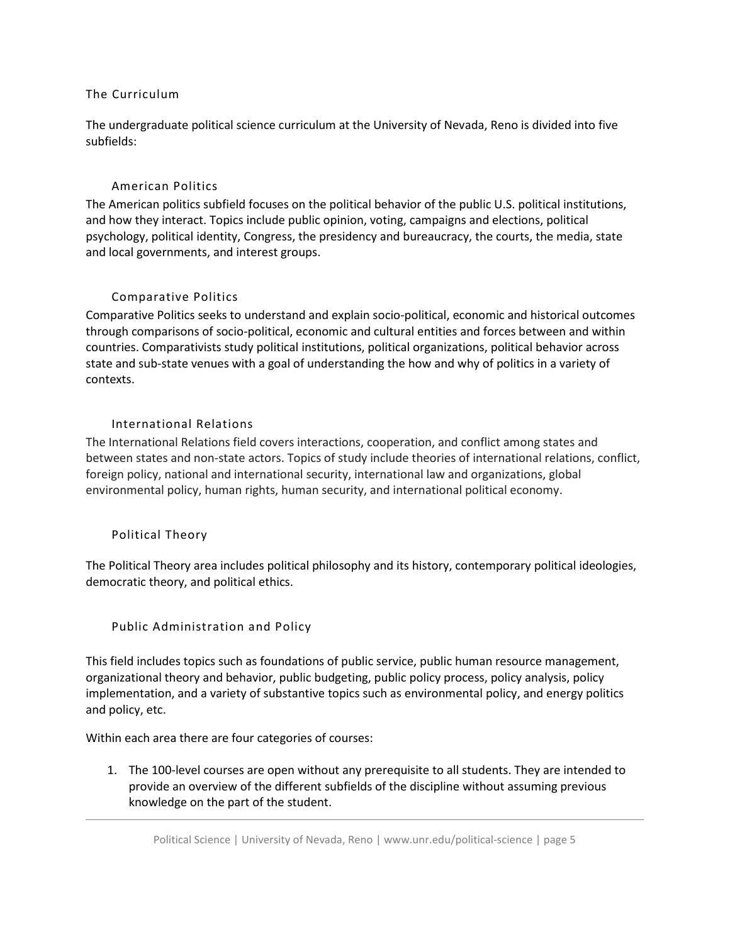# <span id="page-3-0"></span>The Curriculum

 The undergraduate political science curriculum at the University of Nevada, Reno is divided into five subfields:

# American Politics

 and how they interact. Topics include public opinion, voting, campaigns and elections, political The American politics subfield focuses on the political behavior of the public U.S. political institutions, psychology, political identity, Congress, the presidency and bureaucracy, the courts, the media, state and local governments, and interest groups.

# Comparative Politics

 state and sub-state venues with a goal of understanding the how and why of politics in a variety of contexts. Comparative Politics seeks to understand and explain socio-political, economic and historical outcomes through comparisons of socio-political, economic and cultural entities and forces between and within countries. Comparativists study political institutions, political organizations, political behavior across

# International Relations

 contexts. International Relations The International Relations field covers interactions, cooperation, and conflict among states and environmental policy, human rights, human security, and international political economy. between states and non-state actors. Topics of study include theories of international relations, conflict, foreign policy, national and international security, international law and organizations, global

### Political Theory

The Political Theory area includes political philosophy and its history, contemporary political ideologies, democratic theory, and political ethics.

### Public Administration and Policy

 This field includes topics such as foundations of public service, public human resource management, implementation, and a variety of substantive topics such as environmental policy, and energy politics organizational theory and behavior, public budgeting, public policy process, policy analysis, policy and policy, etc.

Within each area there are four categories of courses:

 1. The 100-level courses are open without any prerequisite to all students. They are intended to provide an overview of the different subfields of the discipline without assuming previous knowledge on the part of the student.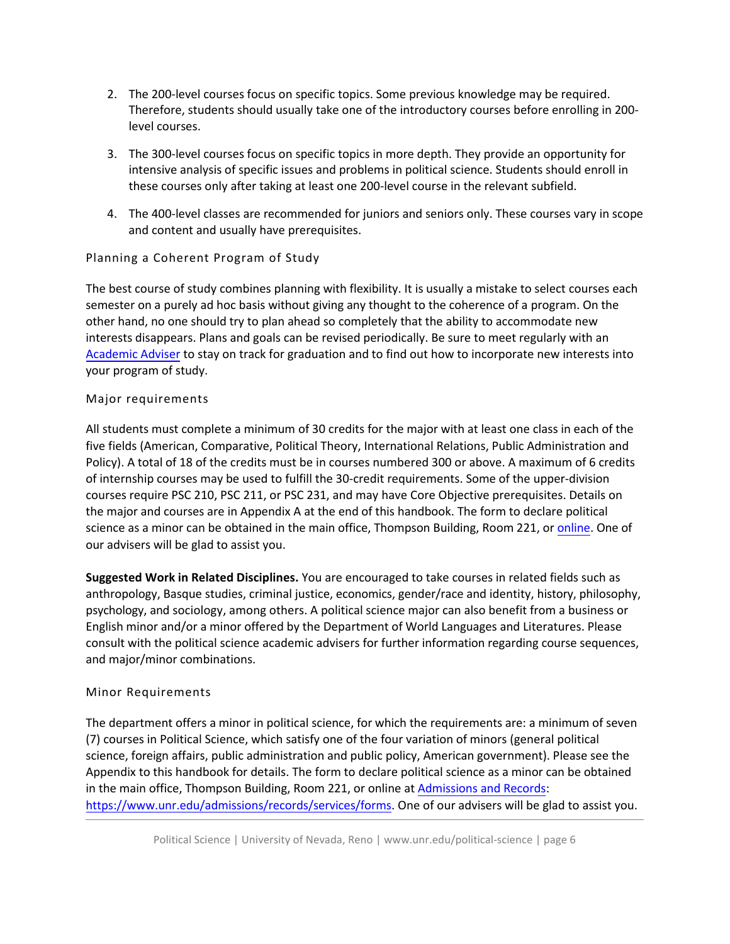- Therefore, students should usually take one of the introductory courses before enrolling in 200- 2. The 200-level courses focus on specific topics. Some previous knowledge may be required. level courses.
- 3. The 300-level courses focus on specific topics in more depth. They provide an opportunity for intensive analysis of specific issues and problems in political science. Students should enroll in these courses only after taking at least one 200-level course in the relevant subfield.
- 4. The 400-level classes are recommended for juniors and seniors only. These courses vary in scope and content and usually have prerequisites.

# <span id="page-4-0"></span>Planning a Coherent Program of Study

 semester on a purely ad hoc basis without giving any thought to the coherence of a program. On the other hand, no one should try to plan ahead so completely that the ability to accommodate new interests disappears. Plans and goals can be revised periodically. Be sure to meet regularly with an [Academic Adviser](https://www.unr.edu/political-science/advising) to stay on track for graduation and to find out how to incorporate new interests into The best course of study combines planning with flexibility. It is usually a mistake to select courses each your program of study.

# <span id="page-4-1"></span>Major requirements

 All students must complete a minimum of 30 credits for the major with at least one class in each of the five fields (American, Comparative, Political Theory, International Relations, Public Administration and Policy). A total of 18 of the credits must be in courses numbered 300 or above. A maximum of 6 credits of internship courses may be used to fulfill the 30-credit requirements. Some of the upper-division courses require PSC 210, PSC 211, or PSC 231, and may have Core Objective prerequisites. Details on the major and courses are in Appendix A at the end of this handbook. The form to declare political science as a minor can be obtained in the main office, Thompson Building, Room 221, or *online*. One of our advisers will be glad to assist you.

 psychology, and sociology, among others. A political science major can also benefit from a business or English minor and/or a minor offered by the Department of World Languages and Literatures. Please **Suggested Work in Related Disciplines.** You are encouraged to take courses in related fields such as anthropology, Basque studies, criminal justice, economics, gender/race and identity, history, philosophy, consult with the political science academic advisers for further information regarding course sequences, and major/minor combinations.

# <span id="page-4-2"></span>Minor Requirements

 The department offers a minor in political science, for which the requirements are: a minimum of seven science, foreign affairs, public administration and public policy, American government). Please see the Appendix to this handbook for details. The form to declare political science as a minor can be obtained in the main office, Thompson Building, Room 221, or online a[t Admissions and Records:](https://www.unr.edu/admissions/records/services/forms) [https://www.unr.edu/admissions/records/services/forms.](https://www.unr.edu/admissions/records/services/forms) One of our advisers will be glad to assist you. (7) courses in Political Science, which satisfy one of the four variation of minors (general political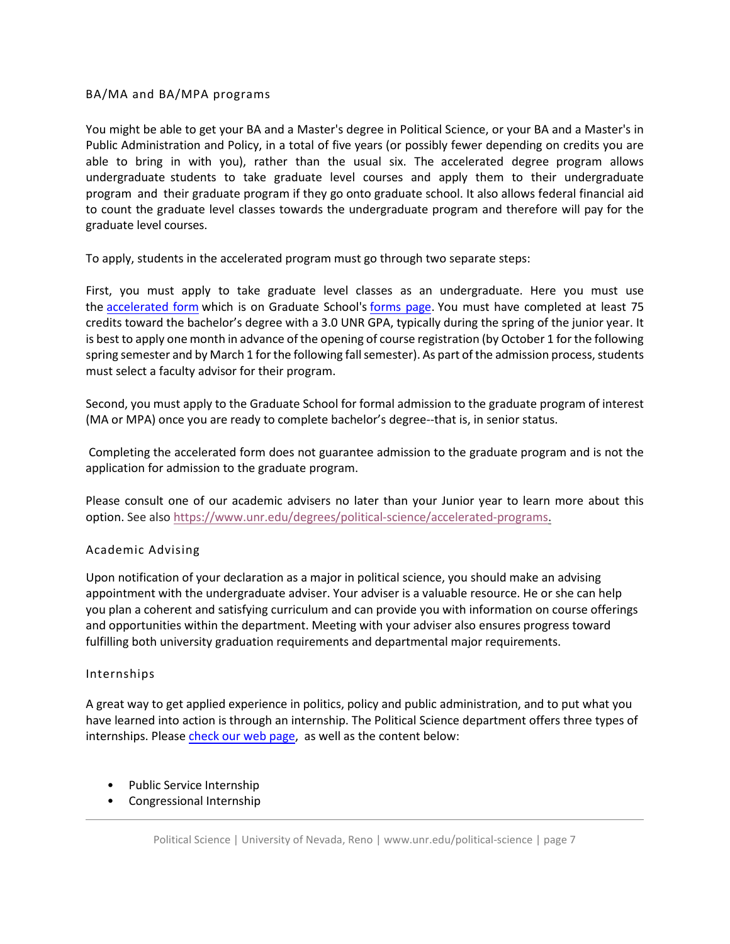#### BA/MA and BA/MPA programs

 able to bring in with you), rather than the usual six. The accelerated degree program allows undergraduate students to take graduate level courses and apply them to their undergraduate program and their graduate program if they go onto graduate school. It also allows federal financial aid to count the graduate level classes towards the undergraduate program and therefore will pay for the graduate level courses. You might be able to get your BA and a Master's degree in Political Science, or your BA and a Master's in Public Administration and Policy, in a total of five years (or possibly fewer depending on credits you are

To apply, students in the accelerated program must go through two separate steps:

the [accelerated](https://nam04.safelinks.protection.outlook.com/?url=https%3A%2F%2Fpowerforms.docusign.net%2Fadb50c03-1d29-4435-8cb3-0438ffae1c79%3Fenv%3Dna3-eu1%26acct%3D00b1dddc-e55a-4962-9660-d691e16a2f23&data=01%7C01%7Ccarolynwarner%40unr.edu%7C2bc2f503b405496bcc8708d7fd9e8250%7C523b4bfc0ebd4c03b2b96f6a17fd31d8%7C1&sdata=GnID1kuwgLqClJfrRH1%2FZMlWam8e5GMk64Ms%2FzbxdOE%3D&reserved=0) form which is on Graduate School's [forms](https://www.unr.edu/grad/student-resources/forms) page. You must have completed at least 75 credits toward the bachelor's degree with a 3.0 UNR GPA, typically during the spring of the junior year. It is best to apply one month in advance of the opening of course registration (by October 1 for the following spring semester and by March 1 for the following fall semester). As part of the admission process, students must select a faculty advisor for their program. First, you must apply to take graduate level classes as an undergraduate. Here you must use

 (MA or MPA) once you are ready to complete bachelor's degree--that is, in senior status. Second, you must apply to the Graduate School for formal admission to the graduate program of interest

 application for admission to the graduate program. Completing the accelerated form does not guarantee admission to the graduate program and is not the

 option. See also https://www.unr.edu/degrees/political-science/accelerated-programs. Please consult one of our academic advisers no later than your Junior year to learn more about this

### Academic Ad[vising](https://www.unr.edu/degrees/political-science/accelerated-programs)

<span id="page-5-0"></span> appointment with the undergraduate adviser. Your adviser is a valuable resource. He or she can help you plan a coherent and satisfying curriculum and can provide you with information on course offerings and opportunities within the department. Meeting with your adviser also ensures progress toward fulfilling both university graduation requirements and departmental major requirements. Upon notification of your declaration as a major in political science, you should make an advising

#### <span id="page-5-1"></span>Internships

 have learned into action is through an internship. The Political Science department offers three types of A great way to get applied experience in politics, policy and public administration, and to put what you internships. Please check our web page, as well as the content below:

- Public Service Internship
- Congressional Internship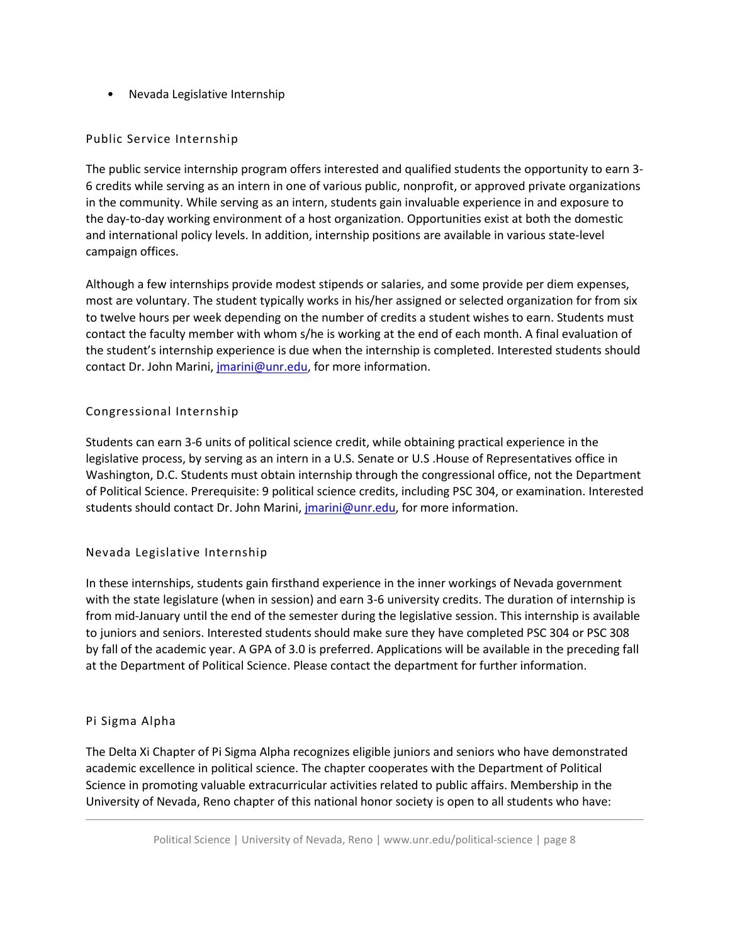• Nevada Legislative Internship

# Public Service Internship

 in the community. While serving as an intern, students gain invaluable experience in and exposure to the day-to-day working environment of a host organization. Opportunities exist at both the domestic The public service internship program offers interested and qualified students the opportunity to earn 3- 6 credits while serving as an intern in one of various public, nonprofit, or approved private organizations and international policy levels. In addition, internship positions are available in various state-level campaign offices.

 most are voluntary. The student typically works in his/her assigned or selected organization for from six to twelve hours per week depending on the number of credits a student wishes to earn. Students must Although a few internships provide modest stipends or salaries, and some provide per diem expenses, contact the faculty member with whom s/he is working at the end of each month. A final evaluation of the student's internship experience is due when the internship is completed. Interested students should contact Dr. John Marini, [jmarini@unr.edu,](mailto:jmarini@unr.edu) for more information.

# Congressional Internship

 Students can earn 3-6 units of political science credit, while obtaining practical experience in the Washington, D.C. Students must obtain internship through the congressional office, not the Department legislative process, by serving as an intern in a U.S. Senate or U.S .House of Representatives office in of Political Science. Prerequisite: 9 political science credits, including PSC 304, or examination. Interested students should contact Dr. John Marini, *jmarini@unr.edu*, for more information.

# Nevada Legislative Internship

 In these internships, students gain firsthand experience in the inner workings of Nevada government to juniors and seniors. Interested students should make sure they have completed PSC 304 or PSC 308 by fall of the academic year. A GPA of 3.0 is preferred. Applications will be available in the preceding fall with the state legislature (when in session) and earn 3-6 university credits. The duration of internship is from mid-January until the end of the semester during the legislative session. This internship is available at the Department of Political Science. Please contact the department for further information.

### <span id="page-6-0"></span>Pi Sigma Alpha

The Delta Xi Chapter of Pi Sigma Alpha recognizes eligible juniors and seniors who have demonstrated academic excellence in political science. The chapter cooperates with the Department of Political Science in promoting valuable extracurricular activities related to public affairs. Membership in the University of Nevada, Reno chapter of this national honor society is open to all students who have: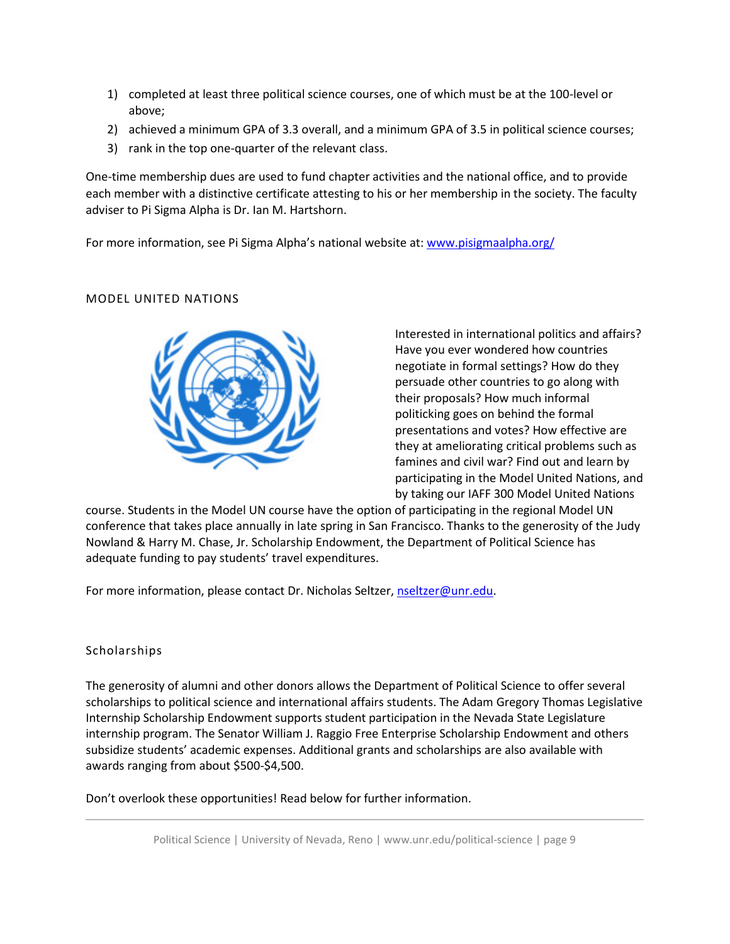- 1) completed at least three political science courses, one of which must be at the 100-level or above;
- 2) achieved a minimum GPA of 3.3 overall, and a minimum GPA of 3.5 in political science courses;
- 3) rank in the top one-quarter of the relevant class.

 each member with a distinctive certificate attesting to his or her membership in the society. The faculty One-time membership dues are used to fund chapter activities and the national office, and to provide adviser to Pi Sigma Alpha is Dr. Ian M. Hartshorn.

For more information, see Pi Sigma Alpha's national website at: www.pisigmaalpha.org/

# MODEL UNITED NATIONS



 politicking goes on behind the formal famines and civil war? Find out and learn by participating in the Model United Nations, and Interested in international politics and affairs? Have you ever wondered how countries negotiate in formal settings? How do they persuade other countries to go along with their proposals? How much informal presentations and votes? How effective are they at ameliorating critical problems such as by taking our IAFF 300 Model United Nations

 course. Students in the Model UN course have the option of participating in the regional Model UN conference that takes place annually in late spring in San Francisco. Thanks to the generosity of the Judy Nowland & Harry M. Chase, Jr. Scholarship Endowment, the Department of Political Science has adequate funding to pay students' travel expenditures.

For more information, please contact Dr. Nicholas Seltzer, [nseltzer@unr.edu.](mailto:nseltzer@unr.edu)

# Scholarships

 The generosity of alumni and other donors allows the Department of Political Science to offer several scholarships to political science and international affairs students. The Adam Gregory Thomas Legislative Internship Scholarship Endowment supports student participation in the Nevada State Legislature subsidize students' academic expenses. Additional grants and scholarships are also available with internship program. The Senator William J. Raggio Free Enterprise Scholarship Endowment and others awards ranging from about \$500-\$4,500.

Don't overlook these opportunities! Read below for further information.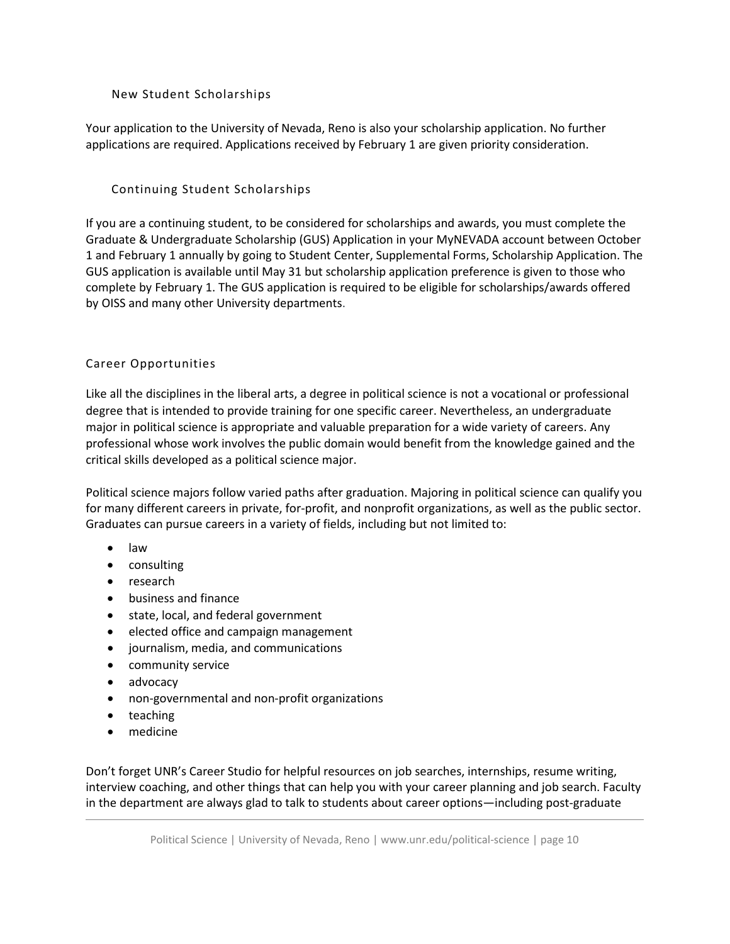# New Student Scholarships

 Your application to the University of Nevada, Reno is also your scholarship application. No further applications are required. Applications received by February 1 are given priority consideration.

# Continuing Student Scholarships

 If you are a continuing student, to be considered for scholarships and awards, you must complete the GUS application is available until May 31 but scholarship application preference is given to those who complete by February 1. The GUS application is required to be eligible for scholarships/awards offered by OISS and many other University departments. Graduate & Undergraduate Scholarship (GUS) Application in your [MyNEVADA account](https://cs.nevada.unr.edu/psp/unrcsprd/?cmd=login&languageCd=ENG) between October 1 and February 1 annually by going to Student Center, Supplemental Forms, Scholarship Application. The

# <span id="page-8-0"></span>Career Opportunities

 professional whose work involves the public domain would benefit from the knowledge gained and the critical skills developed as a political science major. Like all the disciplines in the liberal arts, a degree in political science is not a vocational or professional degree that is intended to provide training for one specific career. Nevertheless, an undergraduate major in political science is appropriate and valuable preparation for a wide variety of careers. Any

Political science majors follow varied paths after graduation. Majoring in political science can qualify you for many different careers in private, for-profit, and nonprofit organizations, as well as the public sector. Graduates can pursue careers in a variety of fields, including but not limited to:

- law
- consulting
- research
- business and finance
- state, local, and federal government
- elected office and campaign management
- journalism, media, and communications
- community service
- advocacy
- non-governmental and non-profit organizations
- teaching
- medicine

 Don't forget UNR's Career Studio for helpful resources on job searches, internships, resume writing, interview coaching, and other things that can help you with your career planning and job search. Faculty in the department are always glad to talk to students about career options—including post-graduate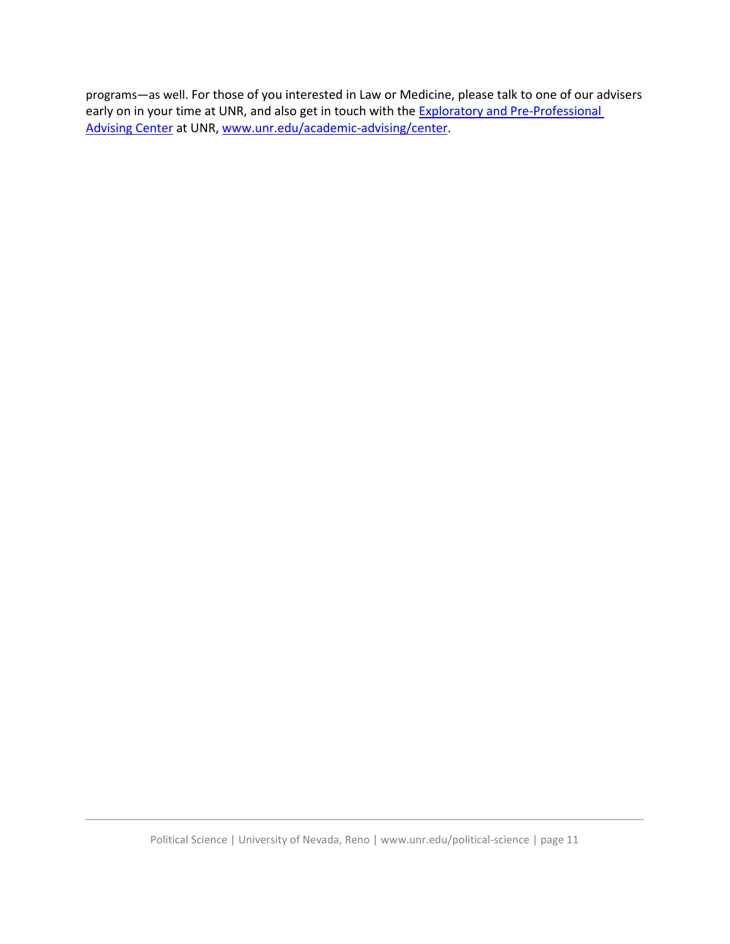programs—as well. For those of you interested in Law or Medicine, please talk to one of our advisers early on in your time at UNR, and also get in touch with the **Exploratory and Pre-Professional** Advising Center at UNR, www.unr.edu/academic-advising/center. [Advising Center](https://www.unr.edu/academic-advising/center) at UNR, [www.unr.edu/academic-advising/center.](http://www.unr.edu/academic-advising/center) Political Science | University of Nevada, Reno | <www.unr.edu/political-science> | page 11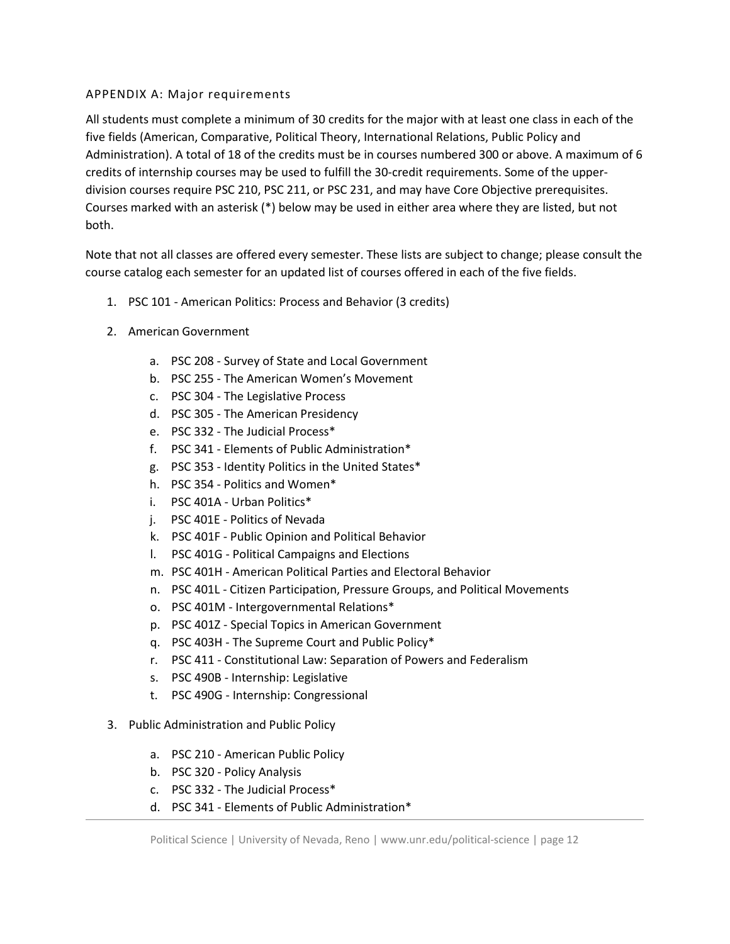# APPENDIX A: Major requirements

 All students must complete a minimum of 30 credits for the major with at least one class in each of the five fields (American, Comparative, Political Theory, International Relations, Public Policy and Administration). A total of 18 of the credits must be in courses numbered 300 or above. A maximum of 6 credits of internship courses may be used to fulfill the 30-credit requirements. Some of the upper- division courses require PSC 210, PSC 211, or PSC 231, and may have Core Objective prerequisites. Courses marked with an asterisk (\*) below may be used in either area where they are listed, but not both.

both.<br>Note that not all classes are offered every semester. These lists are subject to change; please consult the course catalog each semester for an updated list of courses offered in each of the five fields.

- 1. PSC 101 American Politics: Process and Behavior (3 credits)
- 2. American Government
	- a. PSC 208 Survey of State and Local Government
	- b. PSC 255 The American Women's Movement
	- c. PSC 304 The Legislative Process
	- d. PSC 305 The American Presidency
	- e. PSC 332 The Judicial Process\*
	- f. PSC 341 Elements of Public Administration\*
	- g. PSC 353 Identity Politics in the United States\*
	- h. PSC 354 Politics and Women\*
	- i. PSC 401A Urban Politics\*
	- j. PSC 401E Politics of Nevada
	- k. PSC 401F Public Opinion and Political Behavior
	- l. PSC 401G Political Campaigns and Elections
	- m. PSC 401H American Political Parties and Electoral Behavior
	- n. PSC 401L Citizen Participation, Pressure Groups, and Political Movements
	- o. PSC 401M Intergovernmental Relations\*
	- p. PSC 401Z Special Topics in American Government
	- q. PSC 403H The Supreme Court and Public Policy\*
	- r. PSC 411 Constitutional Law: Separation of Powers and Federalism
	- s. PSC 490B Internship: Legislative
	- t. PSC 490G Internship: Congressional
- 3. Public Administration and Public Policy
	- a. PSC 210 American Public Policy
	- b. PSC 320 Policy Analysis
	- c. PSC 332 The Judicial Process\*
	- d. PSC 341 Elements of Public Administration\*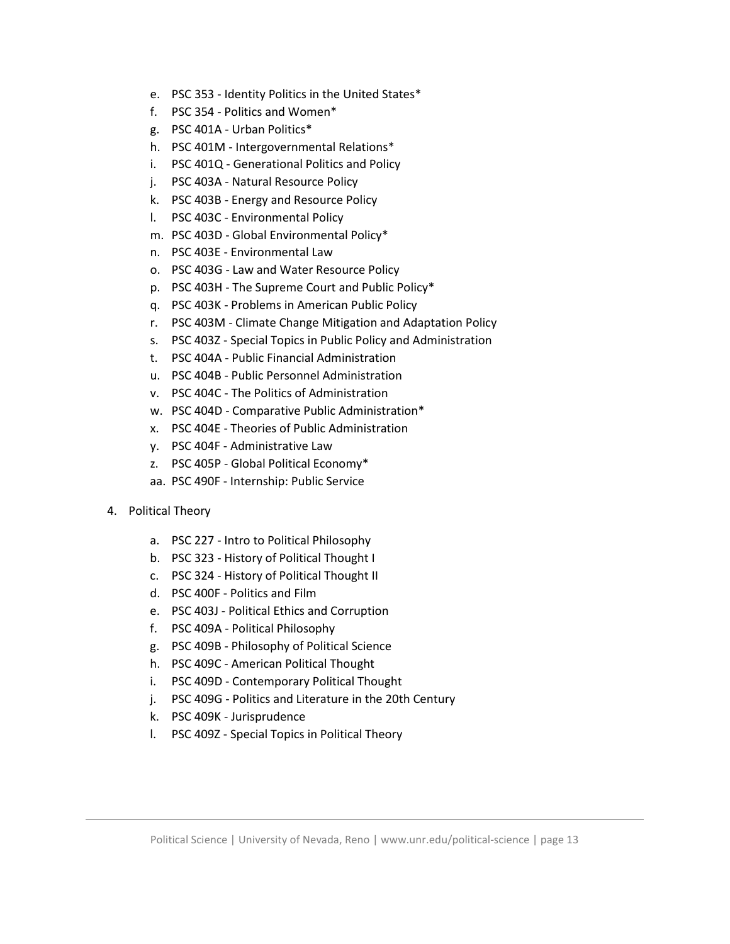- e. PSC 353 Identity Politics in the United States\*
- f. PSC 354 Politics and Women\*
- g. PSC 401A Urban Politics\*
- h. PSC 401M Intergovernmental Relations\*
- i. PSC 401Q Generational Politics and Policy
- j. PSC 403A Natural Resource Policy
- k. PSC 403B Energy and Resource Policy
- l. PSC 403C Environmental Policy
- m. PSC 403D Global Environmental Policy\*
- n. PSC 403E Environmental Law
- o. PSC 403G Law and Water Resource Policy
- p. PSC 403H The Supreme Court and Public Policy\*
- q. PSC 403K Problems in American Public Policy
- r. PSC 403M Climate Change Mitigation and Adaptation Policy
- s. PSC 403Z Special Topics in Public Policy and Administration
- t. PSC 404A Public Financial Administration
- u. PSC 404B Public Personnel Administration
- v. PSC 404C The Politics of Administration
- w. PSC 404D Comparative Public Administration\*
- x. PSC 404E Theories of Public Administration
- y. PSC 404F Administrative Law
- z. PSC 405P Global Political Economy\*
- aa. PSC 490F Internship: Public Service
- 4. Political Theory
	- a. PSC 227 Intro to Political Philosophy
	- b. PSC 323 History of Political Thought I
	- c. PSC 324 History of Political Thought II
	- d. PSC 400F Politics and Film
	- e. PSC 403J Political Ethics and Corruption
	- f. PSC 409A Political Philosophy
	- g. PSC 409B Philosophy of Political Science
	- h. PSC 409C American Political Thought
	- i. PSC 409D Contemporary Political Thought
	- j. PSC 409G Politics and Literature in the 20th Century
	- k. PSC 409K Jurisprudence
	- l. PSC 409Z Special Topics in Political Theory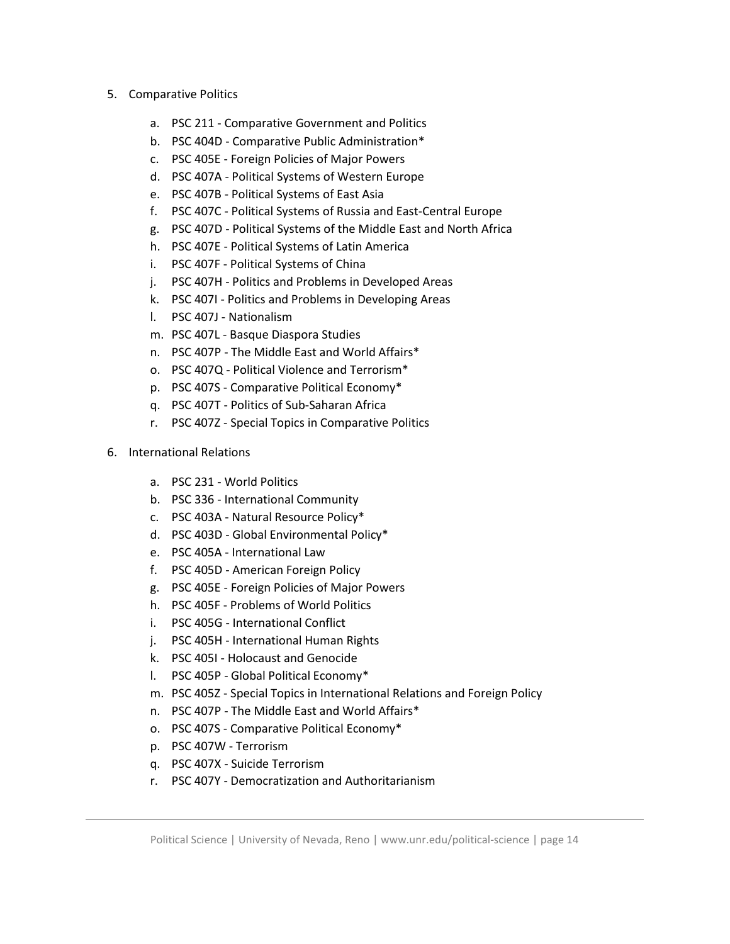- 5. Comparative Politics
	- a. PSC 211 Comparative Government and Politics
	- b. PSC 404D Comparative Public Administration\*
	- c. PSC 405E Foreign Policies of Major Powers
	- d. PSC 407A Political Systems of Western Europe
	- e. PSC 407B Political Systems of East Asia
	- f. PSC 407C Political Systems of Russia and East-Central Europe
	- g. PSC 407D Political Systems of the Middle East and North Africa
	- h. PSC 407E Political Systems of Latin America
	- i. PSC 407F Political Systems of China
	- j. PSC 407H Politics and Problems in Developed Areas
	- k. PSC 407I Politics and Problems in Developing Areas
	- l. PSC 407J Nationalism
	- m. PSC 407L Basque Diaspora Studies
	- n. PSC 407P The Middle East and World Affairs\*
	- o. PSC 407Q Political Violence and Terrorism\*
	- p. PSC 407S Comparative Political Economy\*
	- q. PSC 407T Politics of Sub-Saharan Africa
	- r. PSC 407Z Special Topics in Comparative Politics
- 6. International Relations
	- a. PSC 231 World Politics
	- b. PSC 336 International Community
	- c. PSC 403A Natural Resource Policy\*
	- d. PSC 403D Global Environmental Policy\*
	- e. PSC 405A International Law
	- f. PSC 405D American Foreign Policy
	- g. PSC 405E Foreign Policies of Major Powers
	- h. PSC 405F Problems of World Politics
	- i. PSC 405G International Conflict
	- j. PSC 405H International Human Rights
	- k. PSC 405I Holocaust and Genocide
	- l. PSC 405P Global Political Economy\*
	- m. PSC 405Z Special Topics in International Relations and Foreign Policy
	- n. PSC 407P The Middle East and World Affairs\*
	- o. PSC 407S Comparative Political Economy\*
	- p. PSC 407W Terrorism
	- q. PSC 407X Suicide Terrorism
	- r. PSC 407Y Democratization and Authoritarianism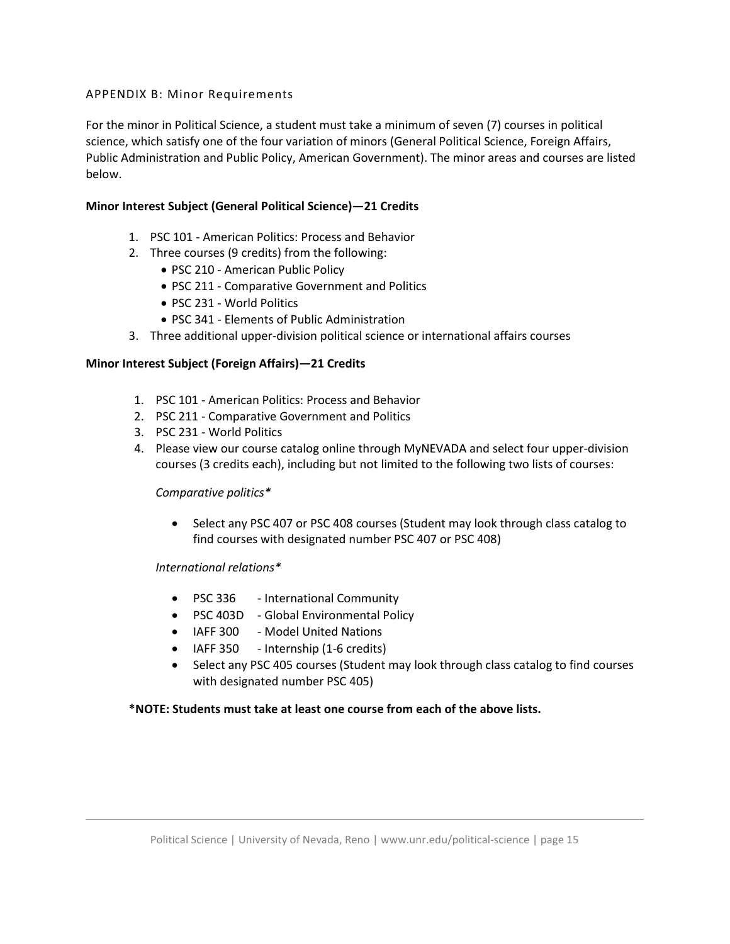# APPENDIX B: Minor Requirements

 For the minor in Political Science, a student must take a minimum of seven (7) courses in political science, which satisfy one of the four variation of minors (General Political Science, Foreign Affairs, Public Administration and Public Policy, American Government). The minor areas and courses are listed below.

# **Minor Interest Subject (General Political Science)—21 Credits**

- 1. PSC 101 American Politics: Process and Behavior
- 2. Three courses (9 credits) from the following:
	- PSC 210 American Public Policy
	- PSC 211 Comparative Government and Politics
	- PSC 231 World Politics
	- PSC 341 Elements of Public Administration
- 3. Three additional upper-division political science or international affairs courses

### **Minor Interest Subject (Foreign Affairs)—21 Credits**

- 1. PSC 101 American Politics: Process and Behavior
- 2. PSC 211 Comparative Government and Politics
- 3. PSC 231 World Politics
- 4. Please view our course catalog online through MyNEVADA and select four upper-division courses (3 credits each), including but not limited to the following two lists of courses:

### *Comparative politics\**

 • Select any PSC 407 or PSC 408 courses (Student may look through class catalog to find courses with designated number PSC 407 or PSC 408)

*International relations\** 

- PSC 336 International Community
- PSC 403D Global Environmental Policy
- IAFF 300 Model United Nations
- IAFF 350 Internship (1-6 credits)
- • Select any PSC 405 courses (Student may look through class catalog to find courses with designated number PSC 405)

# **\*NOTE: Students must take at least one course from each of the above lists.**